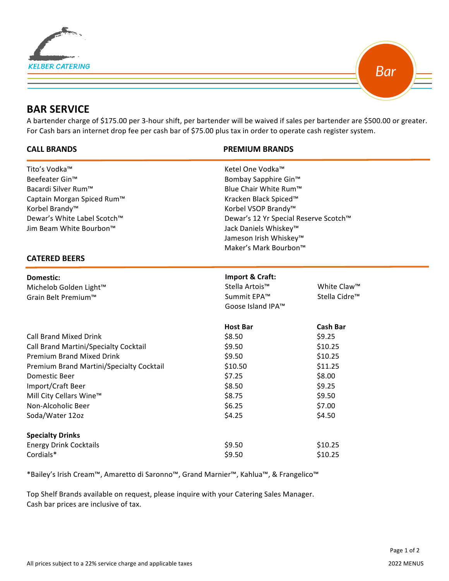



# **BAR SERVICE**

 $\overline{a}$ 

A bartender charge of \$175.00 per 3-hour shift, per bartender will be waived if sales per bartender are \$500.00 or greater. For Cash bars an internet drop fee per cash bar of \$75.00 plus tax in order to operate cash register system.

## **CALL BRANDS PREMIUM BRANDS**

| Ketel One Vodka™                                                                                                                                                                 |                           |                                                                         |
|----------------------------------------------------------------------------------------------------------------------------------------------------------------------------------|---------------------------|-------------------------------------------------------------------------|
|                                                                                                                                                                                  |                           |                                                                         |
| Blue Chair White Rum™                                                                                                                                                            |                           |                                                                         |
| Captain Morgan Spiced Rum™<br>Kracken Black Spiced™<br>Korbel Brandy <sup>™</sup><br>Korbel VSOP Brandy™<br>Dewar's White Label Scotch™<br>Dewar's 12 Yr Special Reserve Scotch™ |                           |                                                                         |
|                                                                                                                                                                                  |                           |                                                                         |
|                                                                                                                                                                                  |                           |                                                                         |
| Jack Daniels Whiskey™                                                                                                                                                            |                           |                                                                         |
|                                                                                                                                                                                  |                           |                                                                         |
|                                                                                                                                                                                  |                           |                                                                         |
|                                                                                                                                                                                  |                           |                                                                         |
| Import & Craft:                                                                                                                                                                  |                           |                                                                         |
| Stella Artois™                                                                                                                                                                   | White Claw™               |                                                                         |
| Summit EPA™                                                                                                                                                                      | Stella Cidre <sup>™</sup> |                                                                         |
| Goose Island IPA™                                                                                                                                                                |                           |                                                                         |
| <b>Host Bar</b>                                                                                                                                                                  | <b>Cash Bar</b>           |                                                                         |
| \$8.50                                                                                                                                                                           | \$9.25                    |                                                                         |
| \$9.50                                                                                                                                                                           | \$10.25                   |                                                                         |
| \$9.50                                                                                                                                                                           | \$10.25                   |                                                                         |
| \$10.50                                                                                                                                                                          | \$11.25                   |                                                                         |
| \$7.25                                                                                                                                                                           | \$8.00                    |                                                                         |
| \$8.50                                                                                                                                                                           | \$9.25                    |                                                                         |
| \$8.75                                                                                                                                                                           | \$9.50                    |                                                                         |
| \$6.25                                                                                                                                                                           | \$7.00                    |                                                                         |
| \$4.25                                                                                                                                                                           | \$4.50                    |                                                                         |
|                                                                                                                                                                                  |                           |                                                                         |
| \$9.50                                                                                                                                                                           | \$10.25                   |                                                                         |
| \$9.50                                                                                                                                                                           | \$10.25                   |                                                                         |
|                                                                                                                                                                                  |                           | Bombay Sapphire Gin™<br>Jameson Irish Whiskey™<br>Maker's Mark Bourbon™ |

\*Bailey's Irish Cream™, Amaretto di Saronno™, Grand Marnier™, Kahlua™, & Frangelico™

Top Shelf Brands available on request, please inquire with your Catering Sales Manager. Cash bar prices are inclusive of tax.